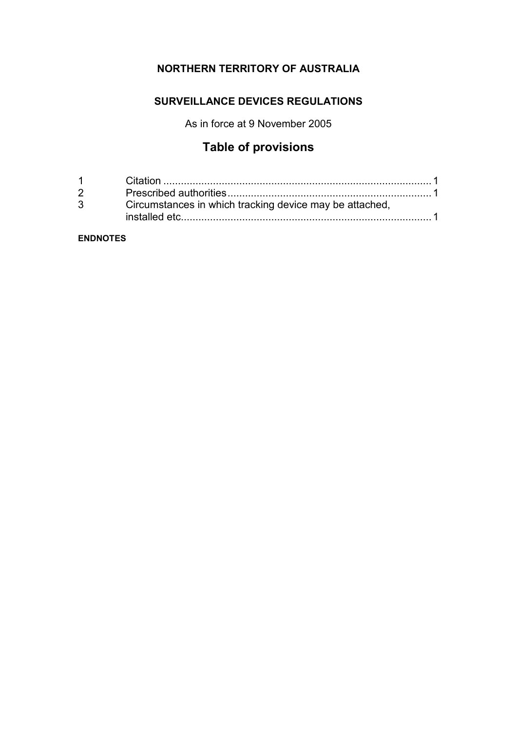# **NORTHERN TERRITORY OF AUSTRALIA**

# **SURVEILLANCE DEVICES REGULATIONS**

As in force at 9 November 2005

# **Table of provisions**

| $\overline{2}$ |                                                         |  |
|----------------|---------------------------------------------------------|--|
| $3^{\circ}$    | Circumstances in which tracking device may be attached, |  |
|                |                                                         |  |

## **ENDNOTES**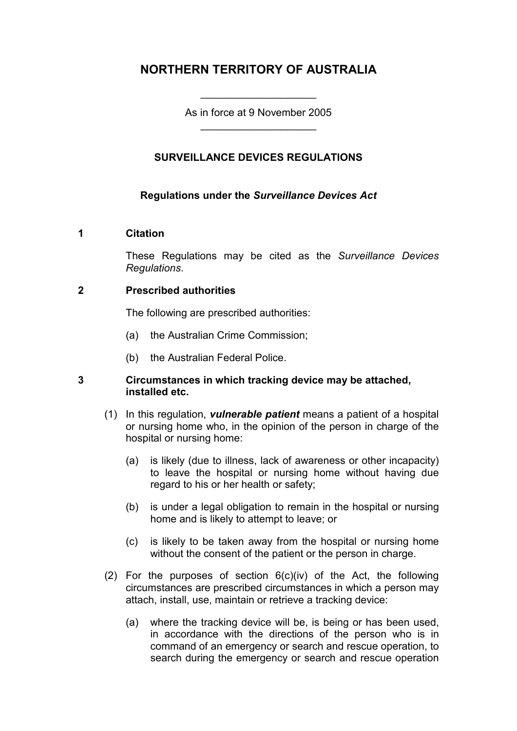# **NORTHERN TERRITORY OF AUSTRALIA**

As in force at 9 November 2005 \_\_\_\_\_\_\_\_\_\_\_\_\_\_\_\_\_\_\_\_

\_\_\_\_\_\_\_\_\_\_\_\_\_\_\_\_\_\_\_\_

# **SURVEILLANCE DEVICES REGULATIONS**

### **Regulations under the** *Surveillance Devices Act*

#### **1 Citation**

These Regulations may be cited as the *Surveillance Devices Regulations*.

#### **2 Prescribed authorities**

The following are prescribed authorities:

- (a) the Australian Crime Commission;
- (b) the Australian Federal Police.

#### **3 Circumstances in which tracking device may be attached, installed etc.**

- (1) In this regulation, *vulnerable patient* means a patient of a hospital or nursing home who, in the opinion of the person in charge of the hospital or nursing home:
	- (a) is likely (due to illness, lack of awareness or other incapacity) to leave the hospital or nursing home without having due regard to his or her health or safety;
	- (b) is under a legal obligation to remain in the hospital or nursing home and is likely to attempt to leave; or
	- (c) is likely to be taken away from the hospital or nursing home without the consent of the patient or the person in charge.
- (2) For the purposes of section 6(c)(iv) of the Act, the following circumstances are prescribed circumstances in which a person may attach, install, use, maintain or retrieve a tracking device:
	- (a) where the tracking device will be, is being or has been used, in accordance with the directions of the person who is in command of an emergency or search and rescue operation, to search during the emergency or search and rescue operation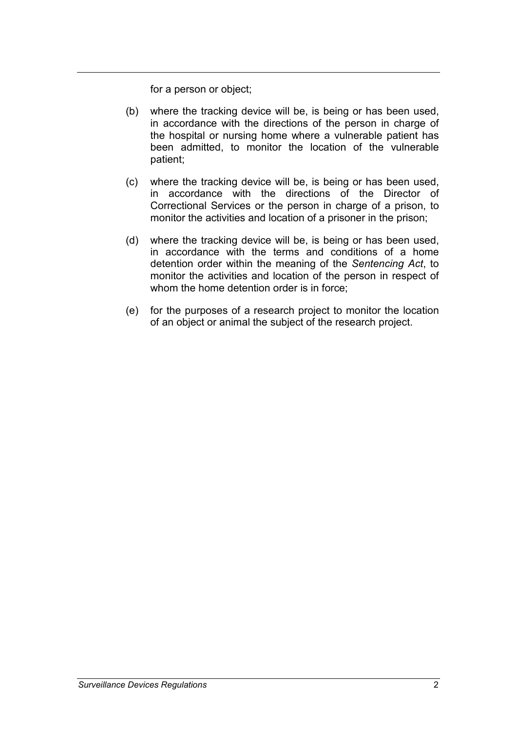for a person or object;

- (b) where the tracking device will be, is being or has been used, in accordance with the directions of the person in charge of the hospital or nursing home where a vulnerable patient has been admitted, to monitor the location of the vulnerable patient;
- (c) where the tracking device will be, is being or has been used, in accordance with the directions of the Director of Correctional Services or the person in charge of a prison, to monitor the activities and location of a prisoner in the prison;
- (d) where the tracking device will be, is being or has been used, in accordance with the terms and conditions of a home detention order within the meaning of the *Sentencing Act*, to monitor the activities and location of the person in respect of whom the home detention order is in force;
- (e) for the purposes of a research project to monitor the location of an object or animal the subject of the research project.